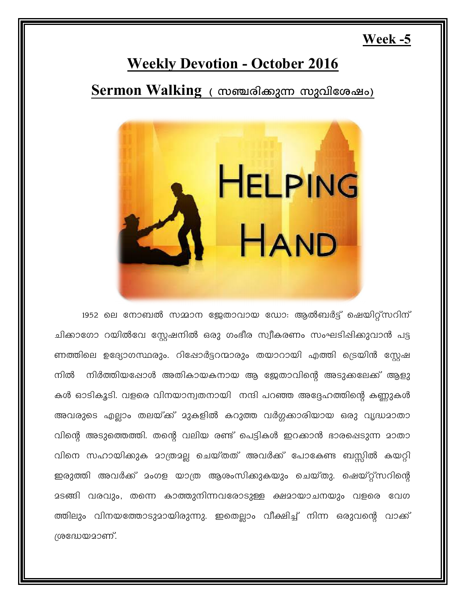## Week  $-5$

# **Weekly Devotion - October 2016**

Sermon Walking ( സഞ്ചരിക്കുന്ന സുവിശേഷം)



1952 ലെ നോബൽ സമ്മാന ജേതാവായ ഡോ: ആൽബർട്ട് ഷെയിറ്റ്സറിന് ചിക്കാഗോ റയിൽവേ സ്റ്റേഷനിൽ ഒരു ഗംഭീര സ്വീകരണം സംഘടിഷിക്കുവാൻ പട്ട ണത്തിലെ ഉദ്യോഗസ്ഥരും. റിഷോർട്ടറന്മാരും തയാറായി എത്തി ട്രെയിൻ സ്റ്റേഷ നിൽ നിർത്തിയപ്പോൾ അതികായകനായ ആ ജേതാവിന്റെ അടുക്കലേക്ക് ആളു കൾ ഓടികൂടി. വളരെ വിനയാന്വതനായി നന്ദി പറഞ്ഞ അദ്ദേഹത്തിന്റെ കണ്ണുകൾ അവരുടെ എല്ലാം തലയ്ക്ക് മുകളിൽ കറുത്ത വർഗ്ഗക്കാരിയായ ഒരു വൃദ്ധമാതാ വിന്റെ അടുത്തെത്തി. തന്റെ വലിയ രണ്ട് പെട്ടികൾ ഇറക്കാൻ ഭാരപ്പെടുന്ന മാതാ വിനെ സഹായിക്കുക മാത്രമല്ല ചെയ്തത് അവർക്ക് പോകേണ്ട ബസ്സിൽ കയറ്റി ഇരുത്തി അവർക്ക് മംഗള യാത്ര ആശംസിക്കുകയും ചെയ്തു. ഷെയ്റ്റ്സറിന്റെ മടങ്ങി വരവും, തന്നെ കാത്തുനിന്നവരോടുള്ള ക്ഷമായാചനയും വളരെ വേഗ ത്തിലും വിനയത്തോടുമായിരുന്നു. ഇതെല്ലാം വീക്ഷിച്ച് നിന്ന ഒരുവന്റെ വാക്ക് ശ്രദ്ധേയമാണ്.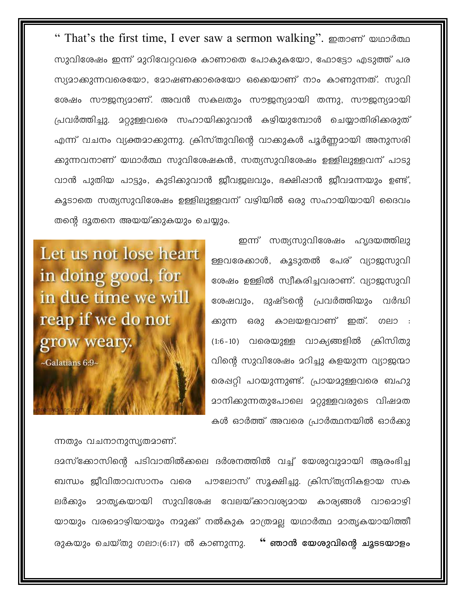" That's the first time, I ever saw a sermon walking". ഇതാണ് യഥാർത്ഥ സുവിശേഷം ഇന്ന് മുറിവേറവരെ കാണാതെ പോകുകയോ, ഫോട്ടോ എടുത്ത് പര സ്യദാക്കുന്നവരെയോ, ദോഷണക്കാരെയോ ഒക്കെയാണ് നാം കാണുന്നത്. സുവി ശേഷം സൗജന്യമാണ്. അവൻ സകലതും സൗജന്യമായി തന്നു, സൗജന്യമായി പ്രവർത്തിച്ചു. മറ്റുള്ളവരെ സഹായിക്കുവാൻ കഴിയുമ്പോൾ ചെയ്യാതിരിക്കരുത് എന്ന് വചനം വ്യക്തമാക്കുന്നു. ക്രിസ്തുവിന്റെ വാക്കുകൾ പൂർണ്ണമായി അനുസരി ക്കുന്നവനാണ് യഥാർത്ഥ സുവിശേഷകൻ, സത്യസുവിശേഷം ഉള്ളിലുള്ളവന് പാടു വാൻ പുതിയ പാട്ടും, കുടിക്കുവാൻ ജീവജലവും, ഭക്ഷിപ്പാൻ ജീവമന്നയും ഉണ്ട്, കൂടാതെ സത്യസുവിശേഷം ഉള്ളിലുള്ളവന് വഴിയിൽ ഒരു സഹായിയായി ദൈവം തന്റെ ദുതനെ അയയ്ക്കുകയും ചെയ്യും.

> ഇന്ന് സത്യസുവിശേഷം ഹൃദയത്തിലു ള്ളവരേക്കാൾ, കൂടുതൽ പേര് വ്യാജസുവി ശേഷം ഉള്ളിൽ സ്വീകരിച്ചവരാണ്. വ്യാജസുവി ശേഷവും, ദുഷ്ടന്റെ പ്രവർത്തിയും വർദ്ധി ക്കുന്ന ഒരു കാലയളവാണ് ഇത്. ഗലാ : (1:6-10) വരെയുള്ള വാക്യങ്ങളിൽ ക്രിസിതു വിന്റെ സുവിശേഷം മറിച്ചു കളയുന്ന വ്യാജന്മാ രെഷറ്റി പറയുന്നുണ്ട്. പ്രായമുള്ളവരെ ബഹു <u>ാ</u>നിക്കുന്നതുപോലെ മറ്റുള്ളവരുടെ വിഷമത കൾ ഓർത്ത് അവരെ പ്രാർത്ഥനയിൽ ഓർക്കു

Let us not lose heart in doing good, for in due time we will reap if we do not grow weary.  $\sim$ Galatians 6:9 $\sim$ 

ന്നതും വചനാനുസൃതമാണ്.

ദമസ്ക്കോസിന്റെ പടിവാതിൽക്കലെ ദർശനത്തിൽ വച്ച് യേശുവുമായി ആരംഭിച്ച ബന്ധം ജീവിതാവസാനം വരെ പൗലോസ് സൂക്ഷിച്ചു. ക്രിസ്ത്യനികളായ സക ലർക്കും മാതൃകയായി സുവിശേഷ വേലയ്ക്കാവശ്യമായ കാര്യങ്ങൾ വാമൊഴി യായും വരമൊഴിയായും നമുക്ക് നൽകുക മാത്രമല്ല യഥാർത്ഥ മാതൃകയായിത്തീ രുകയും ചെയ്തു ഗലാ $:(6:17)$  ൽ കാണുന്നു. " ഞാൻ യേശുവിന്റെ ചൂടടയാളം